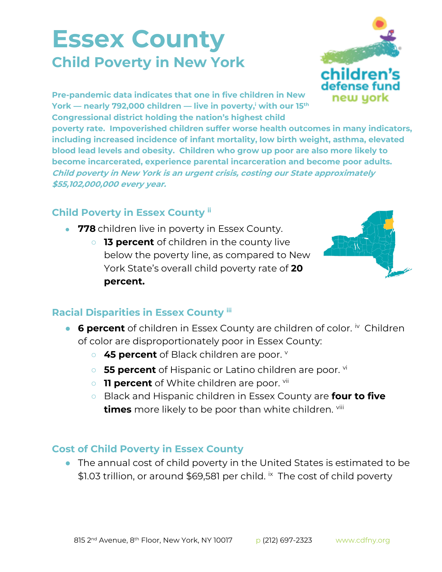## **Essex County Child Poverty in New York**



**Pre-pandemic data indicates that one in five children in New York — nearly 792,000 children — live in poverty,<sup>i</sup> with our 15th Congressional district holding the nation's highest child** 

**poverty rate. Impoverished children suffer worse health outcomes in many indicators, including increased incidence of infant mortality, low birth weight, asthma, elevated blood lead levels and obesity. Children who grow up poor are also more likely to become incarcerated, experience parental incarceration and become poor adults. Child poverty in New York is an urgent crisis, costing our State approximately \$55,102,000,000 every year.**

## **Child Poverty in Essex County ii**

- **778** children live in poverty in Essex County.
	- **13 percent** of children in the county live below the poverty line, as compared to New York State's overall child poverty rate of **20 percent.**



## **Racial Disparities in Essex County iii**

- **6 percent** of children in Essex County are children of color. **iv** Children of color are disproportionately poor in Essex County:
	- 45 percent of Black children are poor. **v**
	- **55 percent** of Hispanic or Latino children are poor. <sup>vi</sup>
	- **11 percent** of White children are poor. <sup>vii</sup>
	- Black and Hispanic children in Essex County are **four to five times** more likely to be poor than white children. viii

## **Cost of Child Poverty in Essex County**

● The annual cost of child poverty in the United States is estimated to be \$1.03 trillion, or around \$69,581 per child. *i*x The cost of child poverty